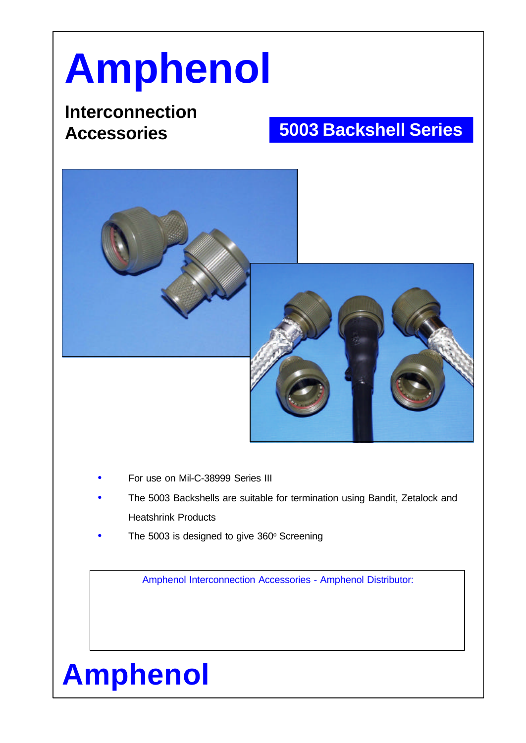## **Amphenol**

## **Interconnection Accessories**

## **5003 Backshell Series**





- For use on Mil-C-38999 Series III
- The 5003 Backshells are suitable for termination using Bandit, Zetalock and Heatshrink Products
- The 5003 is designed to give 360° Screening

Amphenol Interconnection Accessories - Amphenol Distributor:

## **Amphenol**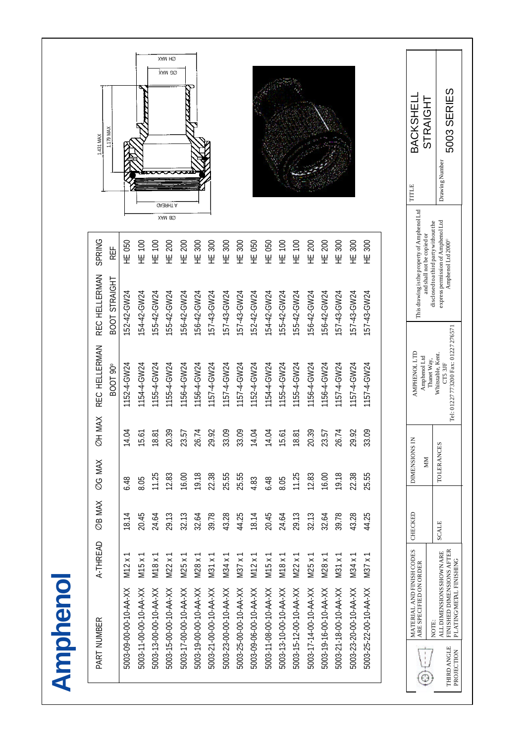| STRAIGHT<br>BACKSHELI<br>TITLE                                                                                       |                         |                        |                        |                        |                        |                        |                        |                        |                        |                        |                        |                        |                        | <b>TALAKA</b>          | XAM HQ<br>XAM 20<br><b>OA3SHT A</b> |                        |                        |                        | <b>T1126 MAX</b>     | 1.431 MAX     |
|----------------------------------------------------------------------------------------------------------------------|-------------------------|------------------------|------------------------|------------------------|------------------------|------------------------|------------------------|------------------------|------------------------|------------------------|------------------------|------------------------|------------------------|------------------------|-------------------------------------|------------------------|------------------------|------------------------|----------------------|---------------|
| This drawing is the property of Amphenol Ltd<br>disclosed to a third party without the<br>and shall not be copied or | 300<br>Ψ                | HE 300                 | 300<br>…<br>王          | <b>HE 200</b>          | 200<br>뿦               | HE 100                 | HE 100                 | HE 050                 | HE 050                 | HE 300                 | 300<br>뿦               | 300<br>.<br>보          | 300<br>뿦               | <b>HE 200</b>          | XAM 80<br><b>HE 200</b>             | HE 100                 | HE 100                 | HE 050                 | REF                  | SPRING        |
|                                                                                                                      | 157-43-GW24             | 57-43-GW24             | 157-43-GW24            | 156-42-GW24            | 156-42-GW24            | 155-42-GW24            | 155-42-GW24            | 54-42-GW24             | 152-42-GW24            | 57-43-GW24             | 157-43-GW24            | 157-43-GW24            | 156-42-GW24            | 56-42-GW24             | 155-42-GW24                         | 55-42-GW24             | 154-42-GW24            | 52-42-GW24             | BOOT STRAIGHT        | REC HELLERMAN |
| <b>AMPHENOL LTD</b><br>Whitstable, Kent.<br>Amphenol Ltd<br>Thanet Way,                                              | 1157-4-GW24             | 1157-4-GW24            | 1157-4-GW24            | 1156-4-GW24            | 1156-4-GW24            | 1155-4-GW24            | 1155-4-GW24            | 1154-4-GW24            | 1152-4-GW24            | 1157-4-GW24            | 1157-4-GW24            | 1157-4-GW24            | 1156-4-GW24            | 1156-4-GW24            | 1155-4-GW24                         | 1155-4-GW24            | 1154-4-GW24            | 1152-4-GW24            | BOOT <sub>90</sub> ° | REC HELLERMAN |
|                                                                                                                      | 3.09<br>S               | 9.92<br>$\sim$         | 6.74<br>$\sim$         | 3.57<br>$\sim$         | 0.39<br>$\sim$         | 8.81                   | 5.61                   | 4.04                   | 4.04                   | 3.09<br>S              | 3.09<br>S              | 9.92<br>$\sim$         | 6.74<br>$\sim$         | 3.57                   | 0.39<br>$\sim$                      | 8.81                   | 5.61                   | 4.04                   |                      | ØH MAX        |
| DIMENSIONS IN<br>TOLERANCES<br>NIN                                                                                   | 25.55                   | 22.38                  | 19.18                  | 16.00                  | 12.83                  | 11.25                  | 8.05                   | 6.48                   | 4.83                   | 25.55                  | 25.55                  | 22.38                  | 19.18                  | 16.00                  | 12.83                               | 11.25                  | 8.05                   | 6.48                   |                      | ØG MAX        |
| CHECKED<br><b>SCALE</b>                                                                                              | 44.25                   | 43.28                  | 39.78                  | 32.64                  | 32.13                  | 29.13                  | 24.64                  | 20.45                  | 18.14                  | 44.25                  | 43.28                  | 39.78                  | 32.64                  | 32.13                  | 29.13                               | 24.64                  | 20.45                  | 18.14                  |                      | ØB MAX        |
|                                                                                                                      | $\overline{ }$<br>M37 x | M34x                   | M31 x 1                | M28 x 1                | M25 x 1                | M22x1                  | M18 x 1                | M15 x 1                | M12x1                  | M37 x 1                | M34 x 1                | M31 x 1                | M28 x 1                | M25 x 1                | $M22 \times 1$                      | M18 x 1                | M15x                   | M12x                   |                      | A-THREAD      |
| MATERIAL AND FINISH CODES<br>ARE SPECIFIED ON ORDER<br>NOTE:                                                         | 5003-25-22-00-10-AA-XX  | 5003-23-20-00-10-AA-XX | 5003-21-18-00-10-AA-XX | 5003-19-16-00-10-AA-XX | 5003-17-14-00-10-AA-XX | 5003-15-12-00-10-AA-XX | 5003-13-10-00-10-AA-XX | 5003-11-08-00-10-AA-XX | 5003-09-06-00-10-AA-XX | 5003-25-00-00-10-AA-XX | 5003-23-00-00-10-AA-XX | 5003-21-00-00-10-AA-XX | 5003-19-00-00-10-AA-XX | 5003-17-00-00-10-AA-XX | 5003-15-00-00-10-AA-XX              | 5003-13-00-00-10-AA-XX | 5003-11-00-00-10-AA-XX | 5003-09-00-00-10-AA-XX |                      | PART NUMBER   |
| ⊕                                                                                                                    |                         |                        |                        |                        |                        |                        |                        |                        |                        |                        |                        |                        |                        |                        |                                     |                        |                        |                        |                      |               |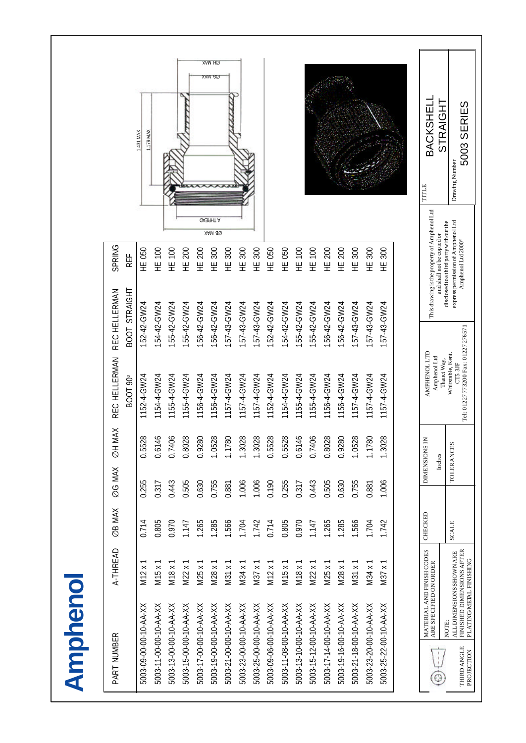| bebeleksko<br>1.179 MAX<br>1.431 MAX<br><b>UA39HT A</b><br>XAM 80<br><b>SPRING</b><br>HE 050<br>HE 100<br>HE 100<br><b>HE 200</b><br>300<br>050<br>HE 050<br>100<br>HE 100<br>200<br><b>HE 200</b><br>300<br>HE 300<br>300<br>200<br>300<br>300<br>300<br>REF<br>뿦<br>똪<br>뿦<br>$\frac{1}{2}$<br>뿦<br>뿦<br>뿦<br>뿦<br>뿦<br>Ψ<br>REC HELLERMAN<br>BOOT STRAIGHT<br>54-42-GW24<br>55-42-GW24<br>55-42-GW24<br>156-42-GW24<br>56-42-GW24<br>57-43-GW24<br>54-42-GW24<br>56-42-GW24<br>57-43-GW24<br>157-43-GW24<br>57-43-GW24<br>57-43-GW24<br>52-42-GW24<br>155-42-GW24<br>55-42-GW24<br>156-42-GW24<br>157-43-GW24<br>152-42-GW24<br>REC HELLERMAN<br>154-4-GW24<br>1155-4-GW24<br>1155-4-GW24<br>156-4-GW24<br>1156-4-GW24<br>157-4-GW24<br>1157-4-GW24<br>1152-4-GW24<br>154-4-GW24<br>1155-4-GW24<br>1156-4-GW24<br>156-4-GW24<br>157-4-GW24<br>1157-4-GW24<br>1152-4-GW24<br>157-4-GW24<br>155-4-GW24<br>1157-4-GW24<br>BOOT 90°<br>ØH MAX<br>1.0528<br>1.1780<br>1.1780<br>.3028 |                                                                                                |  |
|-------------------------------------------------------------------------------------------------------------------------------------------------------------------------------------------------------------------------------------------------------------------------------------------------------------------------------------------------------------------------------------------------------------------------------------------------------------------------------------------------------------------------------------------------------------------------------------------------------------------------------------------------------------------------------------------------------------------------------------------------------------------------------------------------------------------------------------------------------------------------------------------------------------------------------------------------------------------------------------|------------------------------------------------------------------------------------------------|--|
| 1.3028                                                                                                                                                                                                                                                                                                                                                                                                                                                                                                                                                                                                                                                                                                                                                                                                                                                                                                                                                                              | 0.5528                                                                                         |  |
|                                                                                                                                                                                                                                                                                                                                                                                                                                                                                                                                                                                                                                                                                                                                                                                                                                                                                                                                                                                     | 0.6146<br>0.7406                                                                               |  |
|                                                                                                                                                                                                                                                                                                                                                                                                                                                                                                                                                                                                                                                                                                                                                                                                                                                                                                                                                                                     |                                                                                                |  |
|                                                                                                                                                                                                                                                                                                                                                                                                                                                                                                                                                                                                                                                                                                                                                                                                                                                                                                                                                                                     |                                                                                                |  |
|                                                                                                                                                                                                                                                                                                                                                                                                                                                                                                                                                                                                                                                                                                                                                                                                                                                                                                                                                                                     | 0.8028                                                                                         |  |
|                                                                                                                                                                                                                                                                                                                                                                                                                                                                                                                                                                                                                                                                                                                                                                                                                                                                                                                                                                                     | 0.9280                                                                                         |  |
|                                                                                                                                                                                                                                                                                                                                                                                                                                                                                                                                                                                                                                                                                                                                                                                                                                                                                                                                                                                     |                                                                                                |  |
|                                                                                                                                                                                                                                                                                                                                                                                                                                                                                                                                                                                                                                                                                                                                                                                                                                                                                                                                                                                     |                                                                                                |  |
|                                                                                                                                                                                                                                                                                                                                                                                                                                                                                                                                                                                                                                                                                                                                                                                                                                                                                                                                                                                     |                                                                                                |  |
|                                                                                                                                                                                                                                                                                                                                                                                                                                                                                                                                                                                                                                                                                                                                                                                                                                                                                                                                                                                     | 1.3028                                                                                         |  |
|                                                                                                                                                                                                                                                                                                                                                                                                                                                                                                                                                                                                                                                                                                                                                                                                                                                                                                                                                                                     | 0.5528                                                                                         |  |
|                                                                                                                                                                                                                                                                                                                                                                                                                                                                                                                                                                                                                                                                                                                                                                                                                                                                                                                                                                                     | 0.5528                                                                                         |  |
|                                                                                                                                                                                                                                                                                                                                                                                                                                                                                                                                                                                                                                                                                                                                                                                                                                                                                                                                                                                     | 0.6146                                                                                         |  |
|                                                                                                                                                                                                                                                                                                                                                                                                                                                                                                                                                                                                                                                                                                                                                                                                                                                                                                                                                                                     | 0.7406                                                                                         |  |
|                                                                                                                                                                                                                                                                                                                                                                                                                                                                                                                                                                                                                                                                                                                                                                                                                                                                                                                                                                                     | 0.8028                                                                                         |  |
|                                                                                                                                                                                                                                                                                                                                                                                                                                                                                                                                                                                                                                                                                                                                                                                                                                                                                                                                                                                     | 0.9280                                                                                         |  |
|                                                                                                                                                                                                                                                                                                                                                                                                                                                                                                                                                                                                                                                                                                                                                                                                                                                                                                                                                                                     | 1.0528                                                                                         |  |
|                                                                                                                                                                                                                                                                                                                                                                                                                                                                                                                                                                                                                                                                                                                                                                                                                                                                                                                                                                                     |                                                                                                |  |
|                                                                                                                                                                                                                                                                                                                                                                                                                                                                                                                                                                                                                                                                                                                                                                                                                                                                                                                                                                                     |                                                                                                |  |
|                                                                                                                                                                                                                                                                                                                                                                                                                                                                                                                                                                                                                                                                                                                                                                                                                                                                                                                                                                                     | <b>AMPHENOL LTD</b><br>Amphenol Ltd<br>DIMENSIONS IN<br>Inches                                 |  |
| BACKSHELL<br><b>STRAIGHT</b><br>TITLE<br>This drawing is the property of Amphenol Ltd<br>and shall not be copied or                                                                                                                                                                                                                                                                                                                                                                                                                                                                                                                                                                                                                                                                                                                                                                                                                                                                 | Tel: 01227773200 Fax: 01227276571<br>Whitstable, Kent.<br>Thanet Way,<br>CT5 3JF<br>TOLERANCES |  |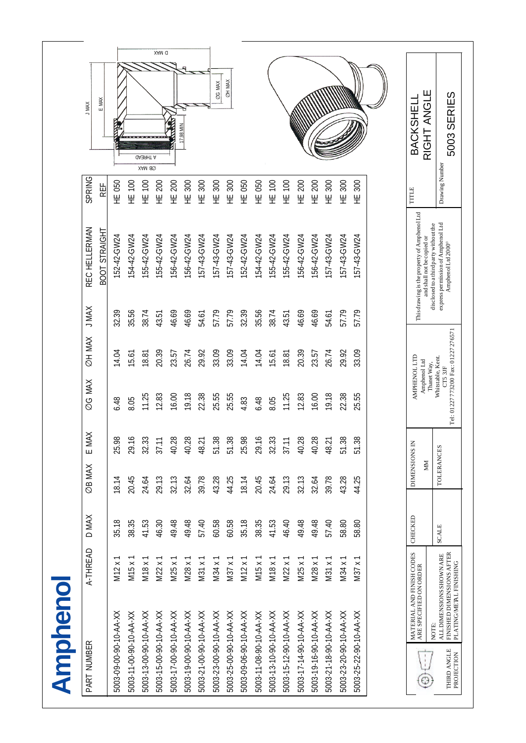| PART NUMBER                                                                          | A-THREAD                                          | D MAX        | ØB MAX              | $\lessapprox$<br>$\overline{E}$ M | ØG MAX                                      | ØH MAX                            | J MAX | REC HELLERMAN                                                                                                  | SPRING                | <b>XAM L</b>              |
|--------------------------------------------------------------------------------------|---------------------------------------------------|--------------|---------------------|-----------------------------------|---------------------------------------------|-----------------------------------|-------|----------------------------------------------------------------------------------------------------------------|-----------------------|---------------------------|
|                                                                                      |                                                   |              |                     |                                   |                                             |                                   |       | BOOT STRAIGHT                                                                                                  | REF                   | E MAX                     |
| 5003-09-00-90-10-AA-XX                                                               | M12x                                              | 35.18        | 18.14               | $\infty$<br>25.9                  | 6.48                                        | 14.04                             | 32.39 | 52-42-GW24                                                                                                     | HE 050                |                           |
| 5003-11-00-90-10-AA-XX                                                               | M15 x                                             | 38.35        | 20.45               | ∾<br>29.1                         | 8.05                                        | 15.61                             | 35.56 | 54-42-GW24                                                                                                     | HE 100                |                           |
| 5003-13-00-90-10-AA-XX                                                               | M18 x                                             | 41.53        | 24.64               | S<br>32.3                         | 11.25                                       | 18.81                             | 38.74 | 55-42-GW24                                                                                                     | $\overline{100}$<br>뽚 | <b>GA3SHT A</b><br>XAM 80 |
| 5003-15-00-90-10-AA-XX                                                               | $\pmb{\times}$<br>M22                             | 46.30        | 29.13               | 37.1                              | 12.83                                       | 20.39                             | 43.51 | 55-42-GW24                                                                                                     | 200<br>뿦              | XAM Q                     |
| 5003-17-00-90-10-AA-XX                                                               | M25 x                                             | 49.48        | 32.13               | œ<br>40.2                         | 16.00                                       | 23.57                             | 46.69 | 56-42-GW24                                                                                                     | 200<br>뿦              |                           |
| 5003-19-00-90-10-AA-XX                                                               | M28x                                              | 49.48        | 32.64               | ∞<br>40.2                         | 19.18                                       | 26.74                             | 46.69 | 56-42-GW24                                                                                                     | 300<br>뿦              | 17.98 MIN                 |
| 5003-21-00-90-10-AA-XX                                                               | M31x                                              | 57.40        | 39.78               | 48.21                             | 22.38                                       | 29.92                             | 54.61 | 57-43-GW24                                                                                                     | 300<br>뿦              |                           |
| 5003-23-00-90-10-AA-XX                                                               | M34 x 1                                           | 60.58        | 43.28               | ∞<br>51.3                         | 25.55                                       | 33.09                             | 57.79 | 157-43-GW24                                                                                                    | 300<br>뽚              | ØG MAX                    |
| 5003-25-00-90-10-AA-XX                                                               | $M37 \times 1$                                    | 60.58        | 44.25               | $\frac{8}{2}$<br>51.3             | 25.55                                       | 33.09                             | 57.79 | 57-43-GW24                                                                                                     | 300<br>뿦              | <b>OH MAX</b>             |
| 5003-09-06-90-10-AA-XX                                                               | $\overline{\times}$<br>M12                        | 35.18        | 18.14               | ò<br>25.9                         | 4.83                                        | 14.04                             | 32.39 | 52-42-GW24                                                                                                     | 050<br>뽚              |                           |
| 5003-11-08-90-10-AA-XX                                                               | M15 x 1                                           | 38.35        | 20.45               | ∾<br>29.1                         | 6.48                                        | 14.04                             | 35.56 | 54-42-GW24                                                                                                     | 050<br>뿦              |                           |
| 5003-13-10-90-10-AA-XX                                                               | M18 x 1                                           | 41.53        | 24.64               | က<br>32.3                         | 8.05                                        | 15.61                             | 38.74 | 55-42-GW24                                                                                                     | 100<br>뿦              |                           |
| 5003-15-12-90-10-AA-XX                                                               | $\overline{\times}$<br>M22                        | 46.40        | 29.13               | 37.1                              | 11.25                                       | 18.81                             | 43.51 | 55-42-GW24                                                                                                     | $\overline{100}$<br>뿦 |                           |
| 5003-17-14-90-10-AA-XX                                                               | M25x                                              | 49.48        | 32.13               | ô<br>40.2                         | 12.83                                       | 20.39                             | 46.69 | 56-42-GW24                                                                                                     | 200<br>뿦              |                           |
| 5003-19-16-90-10-AA-XX                                                               | $\overline{\times}$<br>M28                        | 49.48        | 32.64               | œ<br>40.2                         | 16.00                                       | 23.57                             | 46.69 | 56-42-GW24                                                                                                     | 200<br>뿦              |                           |
| 5003-21-18-90-10-AA-XX                                                               | M31 x 1                                           | 57.40        | 39.78               | 48.21                             | 19.18                                       | 26.74                             | 54.61 | 57-43-GW24                                                                                                     | 300<br>푼              |                           |
| 5003-23-20-90-10-AA-XX                                                               | M34 x                                             | 58.80        | 43.28               | ஜ<br>51.3                         | 22.38                                       | 29.92                             | 57.79 | 57-43-GW24                                                                                                     | 300<br>뿦              |                           |
| 5003-25-22-90-10-AA-XX                                                               | $\overline{\phantom{0}}$<br>$\pmb{\times}$<br>M37 | 58.80        | 44.25               | ôō<br>51.3                        | 25.55                                       | 33.09                             | 57.79 | 57-43-GW24                                                                                                     | 300<br>푼              |                           |
|                                                                                      |                                                   |              |                     |                                   |                                             |                                   |       |                                                                                                                |                       |                           |
| MATERIAL AND FINISH CODES<br>ARE SPECIFIED ON ORDER                                  |                                                   | CHECKED      | DIMENSIONS IN<br>MМ |                                   | AMPHENOL LTD<br>Amphenol Ltd                |                                   |       | This drawing is the property of Amphenol Ltd<br>and shall not be copied or                                     | TITLE                 | RIGHT ANGLE<br>BACKSHEL   |
| FINISHED DIMENSIONS AFTER<br><b>ALL DIMENSIONS SHOWN ARE</b><br>NOTE:<br>THIRD ANGLE |                                                   | <b>SCALE</b> | <b>TOLERANCES</b>   |                                   | Whitstable, Kent.<br>Thanet Way,<br>CT5 3JF | Tel: 01227773200 Fax: 01227276571 |       | express permission of Amphenol Ltd<br>disclosed to a third party without the<br>Amphenol Ltd 2000 <sup>®</sup> | Drawing Number        | 5003 SERIES               |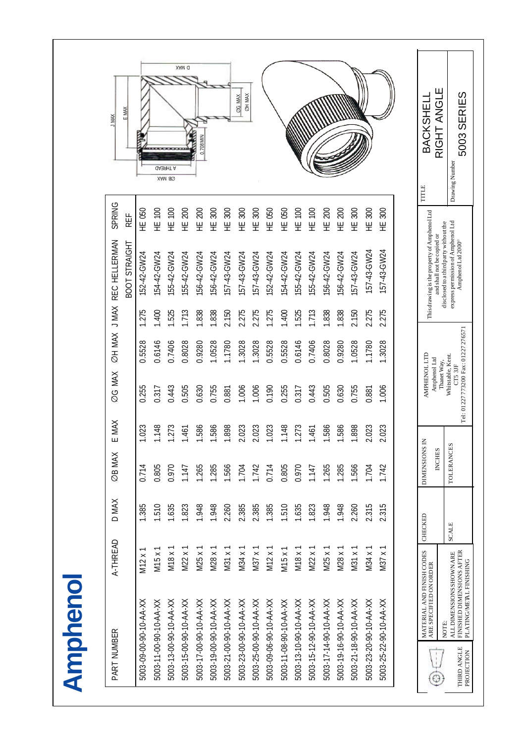| <b>XAW L</b>  | E MAX         |                        |                        | *********<br><b>A THREAD</b><br>XAM 80 | XAM Q                  | 0.708 MIN              |                        |                        | <b>OH MAX</b><br>ØG MAX |                        |                        |                        |                        |                        |                        |                        |                        |                        |                        | BACKSHEL                                                                   | RIGHT ANGLE<br>Drawing Number                                                                                  |
|---------------|---------------|------------------------|------------------------|----------------------------------------|------------------------|------------------------|------------------------|------------------------|-------------------------|------------------------|------------------------|------------------------|------------------------|------------------------|------------------------|------------------------|------------------------|------------------------|------------------------|----------------------------------------------------------------------------|----------------------------------------------------------------------------------------------------------------|
| <b>SPRING</b> | REF           | HE 050                 | HE 100                 | 100<br>뿦                               | 200<br>뿦               | 200<br>뿦               | 300<br>푼               | 300<br>뫂               | 300<br>뿦                | 300<br>뿦               | 050<br>또<br>보          | HE 050                 | 100<br>뿦               | 100<br>뿦               | 200<br>뿦               | 200<br>뿦               | 300<br>뿦               | 300<br>뿦               | 300<br>뿦               | TITLE                                                                      |                                                                                                                |
| REC HELLERMAN | BOOT STRAIGHT | 152-42-GW24            | 154-42-GW24            | 55-42-GW24                             | 155-42-GW24            | 156-42-GW24            | 56-42-GW24             | 57-43-GW24             | 57-43-GW24              | 57-43-GW24             | 152-42-GW24            | 54-42-GW24             | 55-42-GW24             | 55-42-GW24             | 56-42-GW24             | 156-42-GW24            | 57-43-GW24             | 157-43-GW24            | 157-43-GW24            | This drawing is the property of Amphenol Ltd<br>and shall not be copied or | express permission of Amphenol Ltd<br>disclosed to a third party without the<br>Amphenol Ltd 2000 <sup>®</sup> |
|               |               | 275                    | 400                    | 1.525                                  | 1.713                  | 1.838                  | 1.838                  | 2.150                  | 2.275                   | 2.275                  | 1.275                  | 1.400                  | 1.525                  | 1.713                  | 1.838                  | 1.838                  | 2.150                  | 2.275                  | 2.275                  |                                                                            |                                                                                                                |
| ØH MAX J MAX  |               | 0.5528                 | 0.6146                 | 0.7406                                 | 0.8028                 | 0.9280                 | 1.0528                 | .1780                  | .3028                   | .3028                  | 0.5528                 | 0.5528                 | 0.6146                 | 0.7406                 | 0.8028                 | 0.9280                 | 1.0528                 | .1780                  | .3028                  |                                                                            |                                                                                                                |
| ØG MAX        |               | 0.255                  | 0.317                  | 0.443                                  | 0.505                  | 0.630                  | 0.755                  | 0.881                  | 1.006                   | 1.006                  | 0.190                  | 0.255                  | 0.317                  | 0.443                  | 0.505                  | 0.630                  | 0.755                  | 0.881                  | 1.006                  | AMPHENOL LTD<br>Amphenol Ltd                                               | Whitstable, Kent.<br>Thanet Way,<br>CT53JF                                                                     |
| E MAX         |               | 1.023                  | 1.148                  | 1.273                                  | 1.461                  | 1.586                  | 1.586                  | 1.898                  | 2.023                   | 2.023                  | 1.023                  | 1.148                  | 1.273                  | 1.461                  | 1.586                  | 1.586                  | 1.898                  | 2.023                  | 2.023                  | z                                                                          |                                                                                                                |
| ØB MAX        |               | 0.714                  | 0.805                  | 0.970                                  | 1.147                  | 1.265                  | 1.285                  | 1.566                  | 1.704                   | 1.742                  | 0.714                  | 0.805                  | 0.970                  | 1.147                  | 1.265                  | 1.285                  | 1.566                  | 1.704                  | 1.742                  | <b>DIMENSIONS</b><br>INCHES                                                | <b>TOLERANCES</b>                                                                                              |
| D MAX         |               | 1.385                  | .510                   | 1.635                                  | 1.823                  | 1.948                  | 1.948                  | 2.260                  | 2.385                   | 2.385                  | 1.385                  | 1.510                  | 1.635                  | 1.823                  | 1.948                  | 1.948                  | 2.260                  | 2.315                  | 315                    | CHECKED                                                                    | <b>SCALE</b>                                                                                                   |
| A-THREAD      |               | M12x                   | M15 x                  | M18 x                                  | M22x                   | M25 x                  | M28x                   | M31x                   | M34x                    | M37x                   | M12x                   | M15x                   | M18 x 1                | $M22 \times 1$         | M25 x                  | M28x                   | M31x                   | M34 x                  | M37 x                  |                                                                            |                                                                                                                |
| PART NUMBER   |               | 5003-09-00-90-10-AA-XX | 5003-11-00-90-10-AA-XX | 5003-13-00-90-10-AA-XX                 | 5003-15-00-90-10-AA-XX | 5003-17-00-90-10-AA-XX | 5003-19-00-90-10-AA-XX | 5003-21-00-90-10-AA-XX | 5003-23-00-90-10-AA-XX  | 5003-25-00-90-10-AA-XX | 5003-09-06-90-10-AA-XX | 5003-11-08-90-10-AA-XX | 5003-13-10-90-10-AA-XX | 5003-15-12-90-10-AA-XX | 5003-17-14-90-10-AA-XX | 5003-19-16-90-10-AA-XX | 5003-21-18-90-10-AA-XX | 5003-23-20-90-10-AA-XX | 5003-25-22-90-10-AA-XX | MATERIAL AND FINISH CODES<br>ARE SPECIFIED ON ORDER<br>$\ddot{\odot}$      | FINISHED DIMENSIONS AFTER<br><b>ALLDIMENSIONSSHOWNARE</b><br>NOTE:<br>THIRD ANGLE                              |

**Amphenol**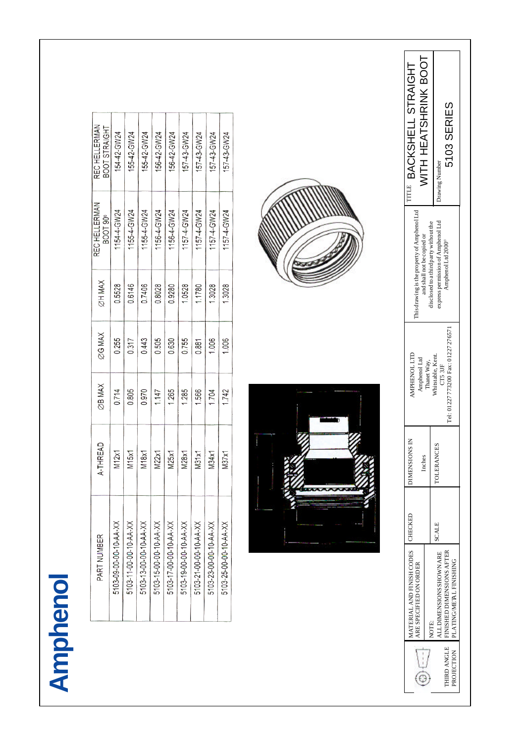| G |
|---|
| h |
|   |
|   |
|   |

| 154-42-GW24         | 155-42-GW24            | 55-42-GW24             | 156-42-GW24            | 56-42-GW24             | 57-43-GW24             | 157-43-GW24            | 157-43-GW24            | 157-43-GW24            |
|---------------------|------------------------|------------------------|------------------------|------------------------|------------------------|------------------------|------------------------|------------------------|
| 154-4-GW24          | 1155-4-GW24            | 1155-4-GW24            | 1156-4-GW24            | 156-4-GW24             | 157-4-GW24             | 1157-4-GW24            | 157-4-GW24             | 1157-4-GW24            |
| 0.5528              | 0.6146                 | 0.7406                 | 0.8028                 | 0.9280                 | 1.0528                 | 1.1780                 | 1.3028                 | 1.3028                 |
| 0.255               | 0.317                  | 0.443                  | 0.505                  | 0.630                  | 0.755                  | 0.881                  | 1.006                  | 1.006                  |
| 0.714               | 0.805                  | 0.970                  | 1.147                  | 1.265                  | 1.285                  | 1.566                  | 1.704                  | 1.742                  |
| M12x1               | M15x1                  | M <sub>18</sub> x1     | M22x1                  | M25x1                  | M28x1                  | M31x1                  | M34x1                  | M37x1                  |
| 5103-09-00-00-4A-XX | 5103-11-00-00-10-AA-XX | 5103-13-00-00-10-AA-XX | 5103-15-00-00-10-AA-XX | 5103-17-00-00-10-AA-XX | 5103-19-00-00-10-AA-XX | 5103-21-00-00-10-AA-XX | 5103-23-00-00-10-AA-XX | 5103-25-00-00-10-AA-XX |
|                     |                        |                        |                        |                        |                        |                        |                        |                        |





|                | TITLE BACKSHELL ST<br>NITH HEATSHRI                                        |                                        | Drawing Number                     | 5103 SERIES                                                                  |
|----------------|----------------------------------------------------------------------------|----------------------------------------|------------------------------------|------------------------------------------------------------------------------|
|                | This drawing is the property of Amphenol Ltd<br>and shall not be copied or | disclosed to a third party without the | express permission of Amphenol Ltd | Amphenol Ltd 2000°                                                           |
|                | <b>AMPHENOL LTD</b><br>Amphenol Ltd                                        | Thanet Way,                            | Whitstable, Kent.<br>CT5 3JF       | Tel: 01227773200 Fax: 01227276571                                            |
| <b>Mariana</b> | DIMENSIONS IN<br>Inches                                                    |                                        | <b>TOLERANCES</b>                  |                                                                              |
|                |                                                                            |                                        | <b>SCALE</b>                       |                                                                              |
|                | MATERIAL AND FINISH CODES   CHECKED<br>ARE SPECIFIED ON ORDER              | NOTE:                                  | ALL DIMENSIONS SHOWN ARE           | THIRD ANGLE   FINISHED DIMENSIONS AFTER<br>PROJECTION PLATING/MERL FINISHING |
|                |                                                                            |                                        |                                    |                                                                              |

PLATING/METAL FINISHING

This drawing is the property of Ampheno1Ld TITLE BACKSHELL STRAIGHT<br>and shall not be copied or<br>disclosed to a third party without the NITH HEATSHRINK BOOT<br>express permission of Ampheno1Ld Drawing Number<br>Ampheno1Ld 2000° FA Drawing Number

BACKSHELL STRAIGHT WITH HEATSHRINK BOOT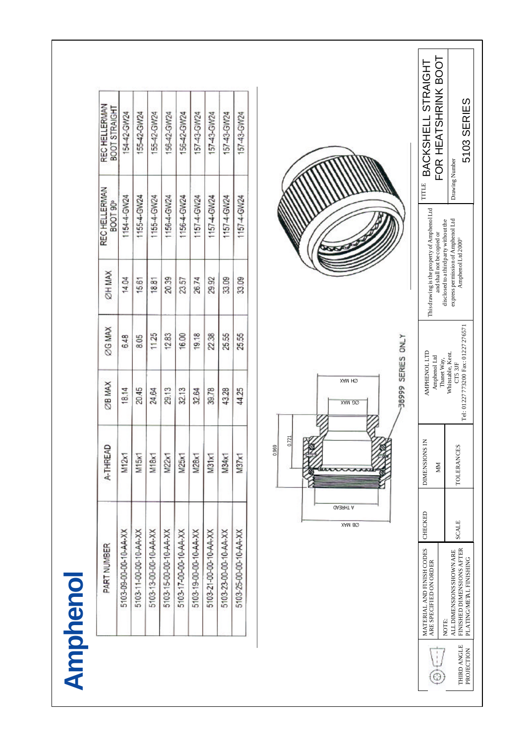|             | PART NUMBER                                                   |                           | A-THREAD             | <b>ZB MAX</b>                                                      | <b>ZAM 902</b> | ØH MAX                                                                                             | REC HELLERMAN<br>BOOT 90 <sup>°</sup> |                | REC HELLERMAN<br><b>BOOT STRAIGHT</b>     |
|-------------|---------------------------------------------------------------|---------------------------|----------------------|--------------------------------------------------------------------|----------------|----------------------------------------------------------------------------------------------------|---------------------------------------|----------------|-------------------------------------------|
|             | 5103-09-00-00-10-AA-XX                                        |                           | M12x1                | 18.14                                                              | 6.48           | 14.04                                                                                              | 1154-4-GW24                           |                | 154-42-GW24                               |
|             | 5103-11-00-00-10-AA-XX                                        |                           | M15x1                | 20.45                                                              | 8.05           | 15.61                                                                                              | 1155-4-GW24                           |                | 155-42-GW24                               |
|             | 5103-13-00-00-10-AA-XX                                        |                           | M18x1                | 24.64                                                              | 1125           | 18.81                                                                                              | 1155-4-GW24                           |                | 155-42-GW24                               |
|             | 5103-15-00-00-10 AA-XX                                        |                           | M22x1                | 29.13                                                              | 12.83          | 20.39                                                                                              | 1156-4-GW24                           |                | 156-42-GW24                               |
|             | 5103-17-00-00-10-AA-XX                                        |                           | M25x1                | 32.13                                                              | 16.00          | 23.57                                                                                              | 1156-4-GW24                           |                | 156-42-GW24                               |
|             | 5103-19-00-00-10-AA-XX                                        |                           | M28x1                | 32.64                                                              | 19.18          | 26.74                                                                                              | 1157-4-GW24                           |                | 157-43-GW24                               |
|             | 5103-21-00-00-10-AA-XX                                        |                           | M31x1                | 39.78                                                              | 22.38          | 29.92                                                                                              | 1157-4-GW24                           |                | 157-43-GW24                               |
|             | 5103-23-00-00-10-AA-XX                                        |                           | M34x1                | 43.28                                                              | 25.55          | 33.09                                                                                              | 1157-4-GW24                           |                | 157-43-GW24                               |
|             | 5103-25-00-00-10-AA-XX                                        |                           | M37x1                | 44.25                                                              | 25.55          | 33.09                                                                                              | 1157-4-GW24                           |                | 157-43-GW24                               |
|             |                                                               | <b>JA39HT A</b><br>XAM 80 | 0.721                | 38999 SERIES ONLY<br>XAM HQ<br>XAM 20                              |                |                                                                                                    |                                       |                |                                           |
|             | MATERIAL AND FINISH CODES<br>ARE SPECIFIED ON ORDER           | CHECKED                   | DIMENSIONS IN<br>NIN | <b>AMPHENOL LTD</b><br>Amphenol Ltd<br>Thanet Way,                 |                | This drawing is the property of Amphenol Ltd<br>and shall not be copied or                         |                                       | TITLE          | FOR HEATSHRINK BOOT<br>BACKSHELL STRAIGHT |
| THIRD ANGLE | ALLDIMENSIONS SHOWN ARE<br>FINISHED DIMENSIONS AFTER<br>NOTE: | <b>SCALE</b>              | <b>TOLERANCES</b>    | Tel: 01227 773200 Fax: 01227 276571<br>Whitstable, Kent.<br>CT53JF |                | express permission of Amphenol Ltd<br>Amphenol Ltd 2000°<br>disclosed to a third party without the |                                       | Drawing Number | 5103 SERIES                               |